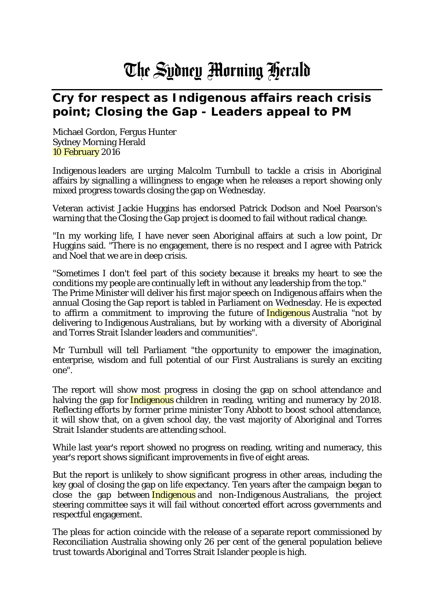## The Sydney Morning Herald

## **Cry for respect as Indigenous affairs reach crisis point; Closing the Gap - Leaders appeal to PM**

Michael Gordon, Fergus Hunter Sydney Morning Herald 10 February 2016

Indigenous leaders are urging Malcolm Turnbull to tackle a crisis in Aboriginal affairs by signalling a willingness to engage when he releases a report showing only mixed progress towards closing the gap on Wednesday.

Veteran activist Jackie Huggins has endorsed Patrick Dodson and Noel Pearson's warning that the Closing the Gap project is doomed to fail without radical change.

"In my working life, I have never seen Aboriginal affairs at such a low point, Dr Huggins said. "There is no engagement, there is no respect and I agree with Patrick and Noel that we are in deep crisis.

"Sometimes I don't feel part of this society because it breaks my heart to see the conditions my people are continually left in without any leadership from the top." The Prime Minister will deliver his first major speech on Indigenous affairs when the annual Closing the Gap report is tabled in Parliament on Wednesday. He is expected to affirm a commitment to improving the future of **Indigenous** Australia "not by delivering to Indigenous Australians, but by working with a diversity of Aboriginal and Torres Strait Islander leaders and communities".

Mr Turnbull will tell Parliament "the opportunity to empower the imagination, enterprise, wisdom and full potential of our First Australians is surely an exciting one".

The report will show most progress in closing the gap on school attendance and halving the gap for *Indigenous* children in reading, writing and numeracy by 2018. Reflecting efforts by former prime minister Tony Abbott to boost school attendance, it will show that, on a given school day, the vast majority of Aboriginal and Torres Strait Islander students are attending school.

While last year's report showed no progress on reading, writing and numeracy, this year's report shows significant improvements in five of eight areas.

But the report is unlikely to show significant progress in other areas, including the key goal of closing the gap on life expectancy. Ten years after the campaign began to close the gap between *Indigenous* and non-Indigenous Australians, the project steering committee says it will fail without concerted effort across governments and respectful engagement.

The pleas for action coincide with the release of a separate report commissioned by Reconciliation Australia showing only 26 per cent of the general population believe trust towards Aboriginal and Torres Strait Islander people is high.